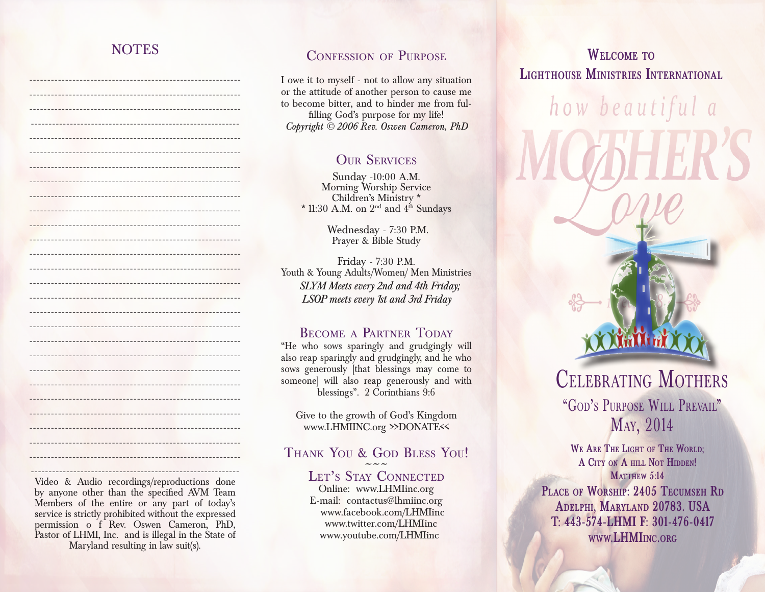### NOTES

----------------------------------------------------------- -----------------------------------------------------------

-----------------------------------------------------------

----------------------------------------------------------- -----------------------------------------------------------

-----------------------------------------------------------

-----------------------------------------------------------

----------------------------------------------------------- ----------------------------------------------------------- ----------------------------------------------------------- -----------------------------------------------------------

----------------------------------------------------------- -----------------------------------------------------------

----------------------------------------------------------- -----------------------------------------------------------

----------------------------------------------------------- Video & Audio recordings/reproductions done by anyone other than the specified AVM Team Members of the entire or any part of today's service is strictly prohibited without the expressed

#### CONFESSION OF PURPOSE

I owe it to myself - not to allow any situation or the attitude of another person to cause me to become bitter, and to hinder me from fulfilling God's purpose for my life! *Copyright © 2006 Rev. Oswen Cameron, PhD*

#### **OUR SERVICES**

Sunday -10:00 A.M. Morning Worship Service Children's Ministry \* \* 11:30 A.M. on  $2^{\text{nd}}$  and  $4^{\text{th}}$  Sundays

> Wednesday - 7:30 P.M. Prayer & Bible Study

Friday - 7:30 P.M. Youth & Young Adults/Women/ Men Ministries *SLYM Meets every 2nd and 4th Friday; LSOP meets every 1st and 3rd Friday* 

#### BECOME A PARTNER TODAY

"He who sows sparingly and grudgingly will also reap sparingly and grudgingly, and he who sows generously [that blessings may come to someone] will also reap generously and with blessings". 2 Corinthians 9:6

Give to the growth of God's Kingdom www.LHMIINC.org >>DONATE<<

# THANK YOU & GOD BLESS YOU!<br>LET'S STAY CONNECTED

Online: www.LHMIinc.org E-mail: contactus@lhmiinc.org www.facebook.com/LHMIinc www.twitter.com/LHMIinc www.youtube.com/LHMIinc

# **Welcome to Lighthouse Ministries International**

how beautiful a

**We Are The Light of The World; A City on A hill Not Hidden! MATTHEW 5:14** Celebrating Mothers "GOD'S PURPOSE WILL PREVAIL" May, 2014 **Place of Worship: 2405 Tecumseh Rd**

**Adelphi, Maryland 20783. USA T: 443-574-LHMI F: 301-476-0417 www.LHMIinc.org**

permission o f Rev. Oswen Cameron, PhD, Pastor of LHMI, Inc. and is illegal in the State of Maryland resulting in law suit(s).